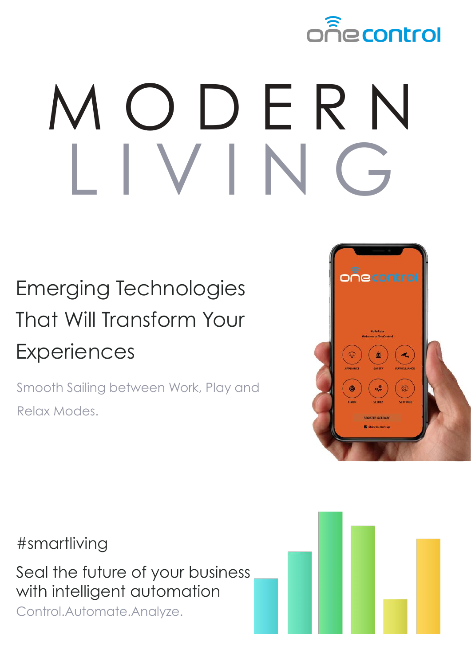

## M O D E R N  $V$

## Emerging Technologies That Will Transform Your **Experiences**

Smooth Sailing between Work, Play and Relax Modes.



#smartliving

Seal the future of your business with intelligent automation Control.Automate.Analyze.

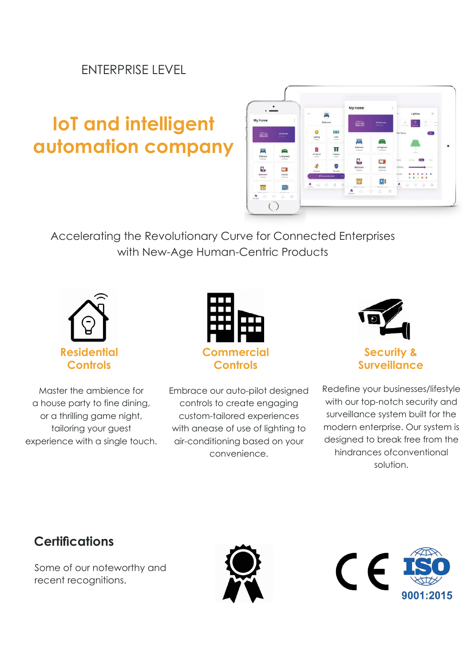#### ENTERPRISE LEVEL

### **IoT and intelligent automation company**



Accelerating the Revolutionary Curve for Connected Enterprises with New-Age Human-Centric Products



Master the ambience for a house party to fine dining, or a thrilling game night, tailoring your guest experience with a single touch.



Embrace our auto-pilot designed controls to create engaging custom-tailored experiences with anease of use of lighting to air-conditioning based on your convenience.



**Security & Surveillance**

Redefine your businesses/lifestyle with our top-notch security and surveillance system built for the modern enterprise. Our system is designed to break free from the hindrances ofconventional solution.

#### **Certifications**

Some of our noteworthy and recent recognitions.



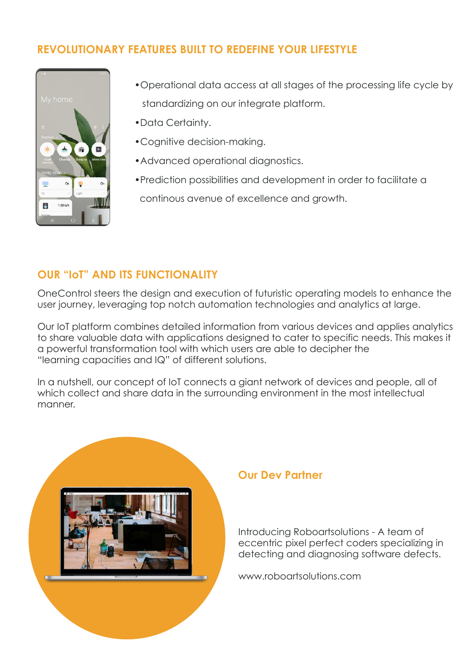#### **REVOLUTIONARY FEATURES BUILT TO REDEFINE YOUR LIFESTYLE**



- •Operational data access at all stages of the processing life cycle by standardizing on our integrate platform.
- •Data Certainty.
- •Cognitive decision-making.
- •Advanced operational diagnostics.
- •Prediction possibilities and development in order to facilitate a continous avenue of excellence and growth.

#### **OUR "IoT" AND ITS FUNCTIONALITY**

OneControl steers the design and execution of futuristic operating models to enhance the user journey, leveraging top notch automation technologies and analytics at large.

Our IoT platform combines detailed information from various devices and applies analytics to share valuable data with applications designed to cater to specific needs. This makes it a powerful transformation tool with which users are able to decipher the "learning capacities and IQ" of different solutions.

In a nutshell, our concept of IoT connects a giant network of devices and people, all of which collect and share data in the surrounding environment in the most intellectual manner.



#### **Our Dev Partner**

Introducing Roboartsolutions - A team of eccentric pixel perfect coders specializing in detecting and diagnosing software defects.

www.roboartsolutions.com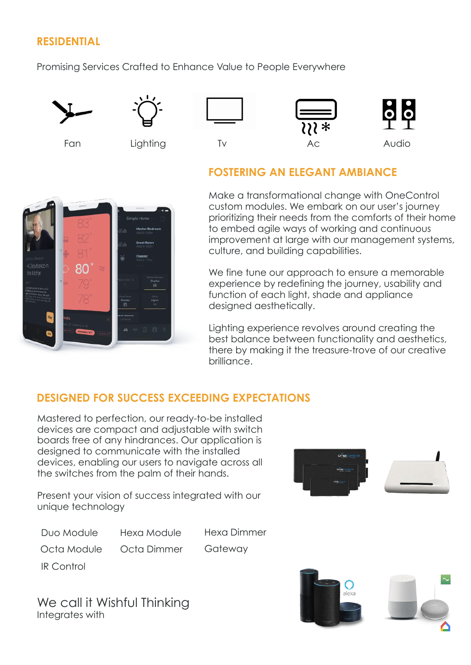#### **RESIDENTIAL**

Promising Services Crafted to Enhance Value to People Everywhere







#### **FOSTERING AN ELEGANT AMBIANCE**



Make a transformational change with OneControl custom modules. We embark on our user's journey prioritizing their needs from the comforts of their home to embed agile ways of working and continuous improvement at large with our management systems, culture, and building capabilities.

We fine tune our approach to ensure a memorable experience by redefining the journey, usability and function of each light, shade and appliance designed aesthetically.

Lighting experience revolves around creating the best balance between functionality and aesthetics, there by making it the treasure-trove of our creative brilliance.

#### **DESIGNED FOR SUCCESS EXCEEDING EXPECTATIONS**

Mastered to perfection, our ready-to-be installed devices are compact and adjustable with switch boards free of any hindrances. Our application is designed to communicate with the installed devices, enabling our users to navigate across all the switches from the palm of their hands.

Present your vision of success integrated with our unique technology

Duo Module

Hexa Module

Hexa Dimmer

Octa Module Octa Dimmer **Gateway** 

IR Control

We call it Wishful Thinking Integrates with



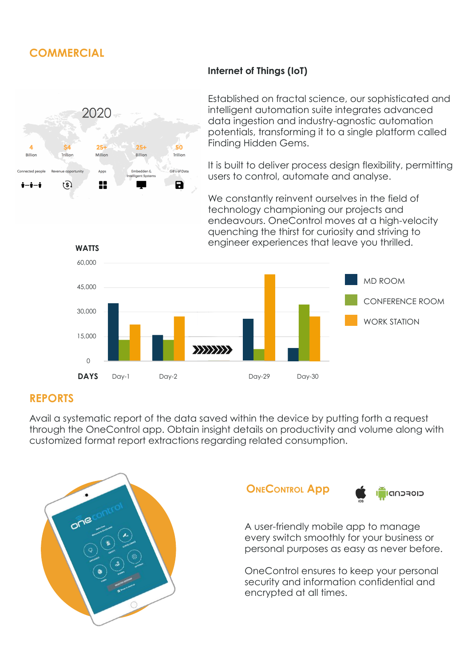#### **COMMERCIAL**



#### **Internet of Things (IoT)**

Established on fractal science, our sophisticated and intelligent automation suite integrates advanced data ingestion and industry-agnostic automation potentials, transforming it to a single platform called Finding Hidden Gems.

It is built to deliver process design flexibility, permitting users to control, automate and analyse.

We constantly reinvent ourselves in the field of technology championing our projects and endeavours. OneControl moves at a high-velocity quenching the thirst for curiosity and striving to engineer experiences that leave you thrilled.



#### **REPORTS**

Avail a systematic report of the data saved within the device by putting forth a request through the OneControl app. Obtain insight details on productivity and volume along with customized format report extractions regarding related consumption.



#### **OneControl App**



A user-friendly mobile app to manage every switch smoothly for your business or personal purposes as easy as never before.

OneControl ensures to keep your personal security and information confidential and encrypted at all times.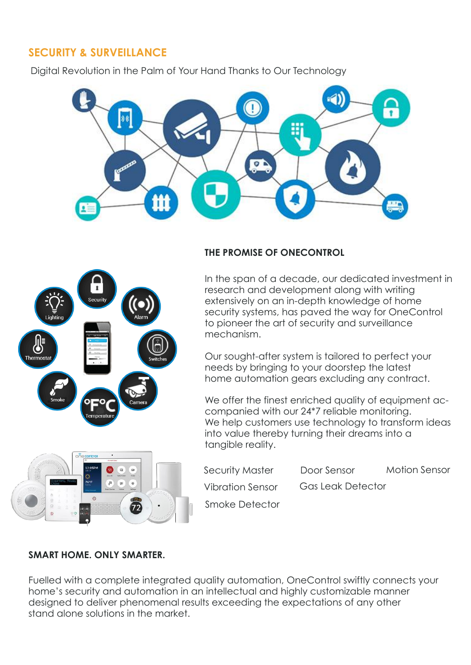#### **SECURITY & SURVEILLANCE**

Digital Revolution in the Palm of Your Hand Thanks to Our Technology



# .<br>Securit **Thermosta**

#### **THE PROMISE OF ONECONTROL**

In the span of a decade, our dedicated investment in research and development along with writing extensively on an in-depth knowledge of home security systems, has paved the way for OneControl to pioneer the art of security and surveillance mechanism.

Our sought-after system is tailored to perfect your needs by bringing to your doorstep the latest home automation gears excluding any contract.

We offer the finest enriched quality of equipment accompanied with our 24\*7 reliable monitoring. We help customers use technology to transform ideas into value thereby turning their dreams into a tangible reality.



Security Master Vibration Sensor Door Sensor Gas Leak Detector Motion Sensor

Smoke Detector

#### **SMART HOME. ONLY SMARTER.**

Fuelled with a complete integrated quality automation, OneControl swiftly connects your home's security and automation in an intellectual and highly customizable manner designed to deliver phenomenal results exceeding the expectations of any other stand alone solutions in the market.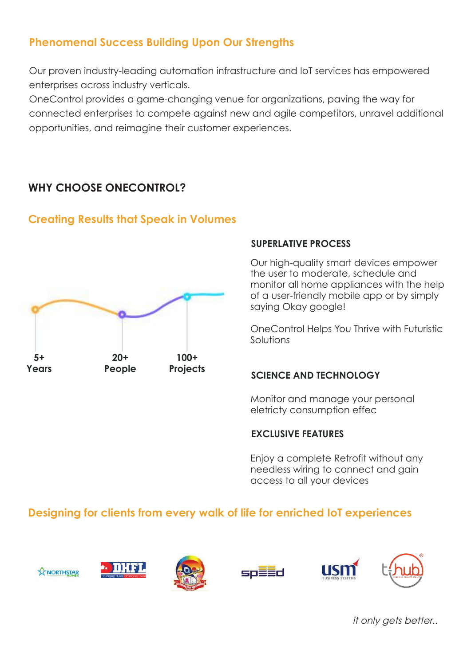#### **Phenomenal Success Building Upon Our Strengths**

Our proven industry-leading automation infrastructure and IoT services has empowered enterprises across industry verticals.

OneControl provides a game-changing venue for organizations, paving the way for connected enterprises to compete against new and agile competitors, unravel additional opportunities, and reimagine their customer experiences.

#### **WHY CHOOSE ONECONTROL?**

#### **Creating Results that Speak in Volumes**



#### **SUPERLATIVE PROCESS**

Our high-quality smart devices empower the user to moderate, schedule and monitor all home appliances with the help of a user-friendly mobile app or by simply saying Okay google!

OneControl Helps You Thrive with Futuristic Solutions

#### **SCIENCE AND TECHNOLOGY**

Monitor and manage your personal eletricty consumption effec

#### **EXCLUSIVE FEATURES**

Enjoy a complete Retrofit without any needless wiring to connect and gain access to all your devices

#### **Designing for clients from every walk of life for enriched IoT experiences**













it only gets better..